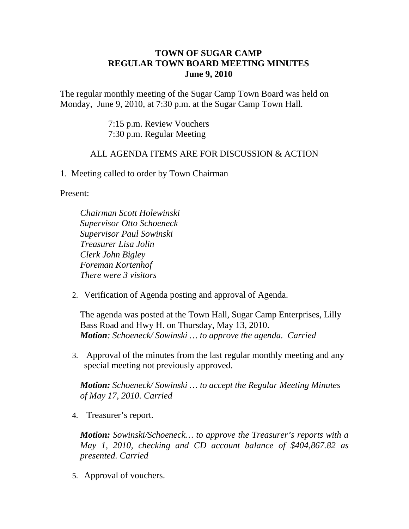## **TOWN OF SUGAR CAMP REGULAR TOWN BOARD MEETING MINUTES June 9, 2010**

The regular monthly meeting of the Sugar Camp Town Board was held on Monday, June 9, 2010, at 7:30 p.m. at the Sugar Camp Town Hall.

> 7:15 p.m. Review Vouchers 7:30 p.m. Regular Meeting

## ALL AGENDA ITEMS ARE FOR DISCUSSION & ACTION

1. Meeting called to order by Town Chairman

Present:

*Chairman Scott Holewinski Supervisor Otto Schoeneck Supervisor Paul Sowinski Treasurer Lisa Jolin Clerk John Bigley Foreman Kortenhof There were 3 visitors*

2. Verification of Agenda posting and approval of Agenda.

The agenda was posted at the Town Hall, Sugar Camp Enterprises, Lilly Bass Road and Hwy H. on Thursday, May 13, 2010. *Motion: Schoeneck/ Sowinski … to approve the agenda. Carried*

3. Approval of the minutes from the last regular monthly meeting and any special meeting not previously approved.

*Motion: Schoeneck/ Sowinski … to accept the Regular Meeting Minutes of May 17, 2010. Carried*

4. Treasurer's report.

*Motion: Sowinski/Schoeneck… to approve the Treasurer's reports with a May 1, 2010, checking and CD account balance of \$404,867.82 as presented. Carried*

5. Approval of vouchers.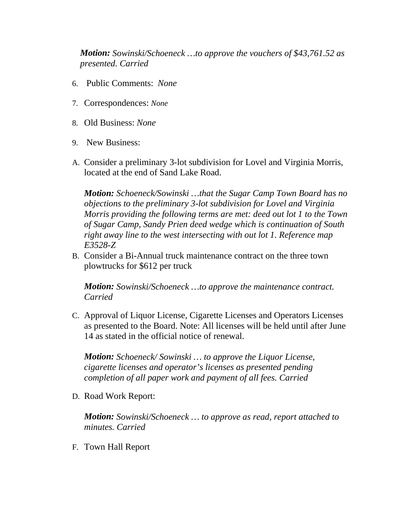*Motion: Sowinski/Schoeneck …to approve the vouchers of \$43,761.52 as presented. Carried*

- 6. Public Comments: *None*
- 7. Correspondences: *None*
- 8. Old Business: *None*
- 9. New Business:
- A. Consider a preliminary 3-lot subdivision for Lovel and Virginia Morris, located at the end of Sand Lake Road.

*Motion: Schoeneck/Sowinski …that the Sugar Camp Town Board has no objections to the preliminary 3-lot subdivision for Lovel and Virginia Morris providing the following terms are met: deed out lot 1 to the Town of Sugar Camp, Sandy Prien deed wedge which is continuation of South right away line to the west intersecting with out lot 1. Reference map E3528-Z*

B. Consider a Bi-Annual truck maintenance contract on the three town plowtrucks for \$612 per truck

*Motion: Sowinski/Schoeneck …to approve the maintenance contract. Carried*

C. Approval of Liquor License, Cigarette Licenses and Operators Licenses as presented to the Board. Note: All licenses will be held until after June 14 as stated in the official notice of renewal.

*Motion: Schoeneck/ Sowinski … to approve the Liquor License, cigarette licenses and operator's licenses as presented pending completion of all paper work and payment of all fees. Carried*

D. Road Work Report:

*Motion: Sowinski/Schoeneck … to approve as read, report attached to minutes. Carried*

F. Town Hall Report